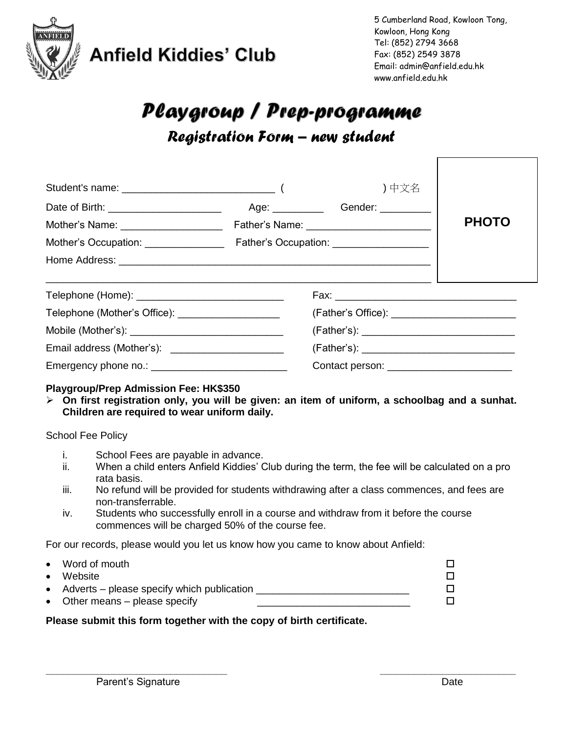

**Anfield Kiddies' Club** 

# Playgroup / Prep-programme *Registration Form – new student*

|                                                     |                                              | ) 中文名 |              |  |
|-----------------------------------------------------|----------------------------------------------|-------|--------------|--|
|                                                     | Age: _________________Gender: ______________ |       |              |  |
| Mother's Name: ______________________               |                                              |       | <b>PHOTO</b> |  |
|                                                     |                                              |       |              |  |
|                                                     |                                              |       |              |  |
|                                                     |                                              |       |              |  |
|                                                     |                                              |       |              |  |
| Telephone (Mother's Office): ______________________ |                                              |       |              |  |
|                                                     |                                              |       |              |  |
| Email address (Mother's): _________________________ |                                              |       |              |  |
|                                                     |                                              |       |              |  |

#### **Playgroup/Prep Admission Fee: HK\$350**

 **On first registration only, you will be given: an item of uniform, a schoolbag and a sunhat. Children are required to wear uniform daily.** 

#### School Fee Policy

- i. School Fees are payable in advance.
- ii. When a child enters Anfield Kiddies' Club during the term, the fee will be calculated on a pro rata basis.
- iii. No refund will be provided for students withdrawing after a class commences, and fees are non-transferrable.

**\_\_\_\_\_\_\_\_\_\_\_\_\_\_\_\_\_\_\_\_\_\_\_\_\_\_\_\_\_\_\_\_ \_\_\_\_\_\_\_\_\_\_\_\_\_\_\_\_\_\_\_\_\_\_\_\_**

iv. Students who successfully enroll in a course and withdraw from it before the course commences will be charged 50% of the course fee.

For our records, please would you let us know how you came to know about Anfield:

Word of mouth  $\square$  $\bullet$  Website  $\Box$ Adverts – please specify which publication  $\Box$ Other means – please specify  $\Box$ 

#### **Please submit this form together with the copy of birth certificate.**